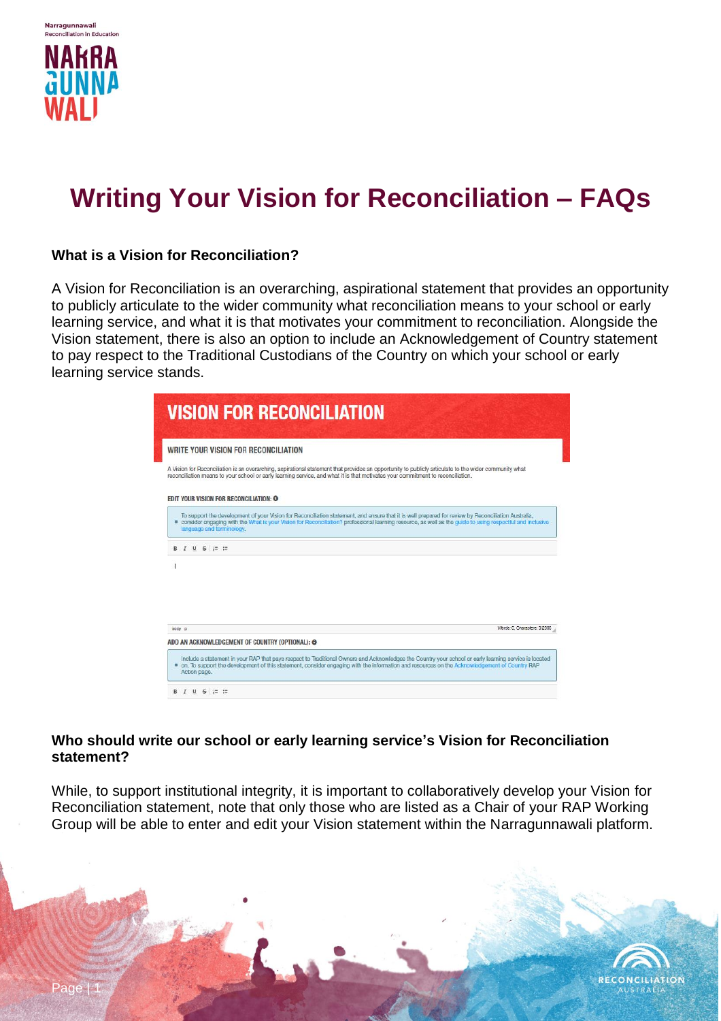

Narragunnawali

# **Writing Your Vision for Reconciliation – FAQs**

## **What is a Vision for Reconciliation?**

A Vision for Reconciliation is an overarching, aspirational statement that provides an opportunity to publicly articulate to the wider community what reconciliation means to your school or early learning service, and what it is that motivates your commitment to reconciliation. Alongside the Vision statement, there is also an option to include an Acknowledgement of Country statement to pay respect to the Traditional Custodians of the Country on which your school or early learning service stands.

| <b>VISION FOR RECONCILIATION</b>                                                                                                                                                                                                                                                                                                                           |                              |
|------------------------------------------------------------------------------------------------------------------------------------------------------------------------------------------------------------------------------------------------------------------------------------------------------------------------------------------------------------|------------------------------|
| WRITE YOUR VISION FOR RECONCILIATION                                                                                                                                                                                                                                                                                                                       |                              |
| A Vision for Reconciliation is an overarching, aspirational statement that provides an opportunity to publicly articulate to the wider community what<br>reconciliation means to your school or early learning service, and what it is that motivates your commitment to reconciliation.                                                                   |                              |
| <b>EDIT YOUR VISION FOR RECONCILIATION: @</b>                                                                                                                                                                                                                                                                                                              |                              |
| To support the development of your Vision for Reconciliation statement, and ensure that it is well prepared for review by Reconciliation Australia.<br><sup>B</sup> consider engaging with the What is your Vision for Reconciliation? professional learning resource, as well as the guide to using respectful and inclusive<br>language and terminology. |                              |
| <b>B</b> <i>I</i> U <del>S</del> = =                                                                                                                                                                                                                                                                                                                       |                              |
|                                                                                                                                                                                                                                                                                                                                                            | Words: 0. Characters: 0/2000 |
| body p                                                                                                                                                                                                                                                                                                                                                     |                              |
| ADD AN ACKNOWLEDGEMENT OF COUNTRY (OPTIONAL): @                                                                                                                                                                                                                                                                                                            |                              |
| Include a statement in your RAP that pays respect to Traditional Owners and Acknowledges the Country your school or early learning service is located<br><sup>8</sup> on. To support the development of this statement, consider engaging with the information and resources on the Acknowledgement of Country RAP<br>Action page.                         |                              |
| $B$ $I$ $U$ $S$ $\equiv$ $\equiv$                                                                                                                                                                                                                                                                                                                          |                              |

## **Who should write our school or early learning service's Vision for Reconciliation statement?**

While, to support institutional integrity, it is important to collaboratively develop your Vision for Reconciliation statement, note that only those who are listed as a Chair of your RAP Working Group will be able to enter and edit your Vision statement within the Narragunnawali platform.